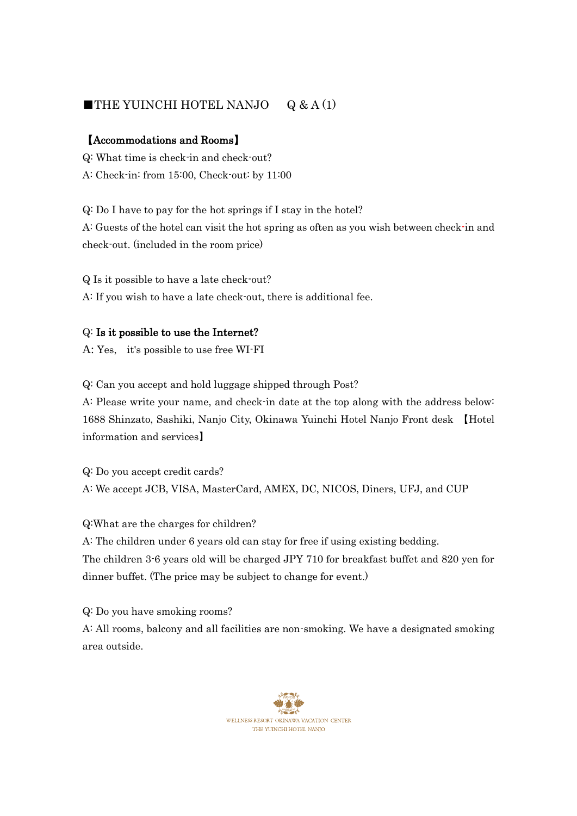# **THE YUINCHI HOTEL NANJO**  $Q & A(1)$

## 【Accommodations and Rooms】

Q: What time is check-in and check-out? A: Check-in: from 15:00, Check-out: by 11:00

Q: Do I have to pay for the hot springs if I stay in the hotel? A: Guests of the hotel can visit the hot spring as often as you wish between check-in and check-out. (included in the room price)

Q Is it possible to have a late check-out? A: If you wish to have a late check-out, there is additional fee.

## Q: Is it possible to use the Internet?

A: Yes, it's possible to use free WI-FI

Q: Can you accept and hold luggage shipped through Post?

A: Please write your name, and check-in date at the top along with the address below: 1688 Shinzato, Sashiki, Nanjo City, Okinawa Yuinchi Hotel Nanjo Front desk 【Hotel information and services】

Q: Do you accept credit cards? A: We accept JCB, VISA, MasterCard, AMEX, DC, NICOS, Diners, UFJ, and CUP

Q:What are the charges for children?

A: The children under 6 years old can stay for free if using existing bedding. The children 3-6 years old will be charged JPY 710 for breakfast buffet and 820 yen for dinner buffet. (The price may be subject to change for event.)

Q: Do you have smoking rooms?

A: All rooms, balcony and all facilities are non-smoking. We have a designated smoking area outside.